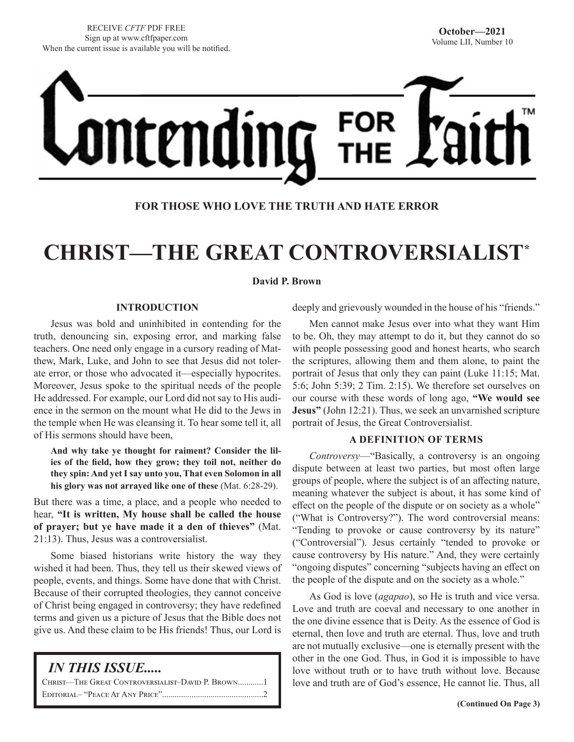

# **FOR THOSE WHO LOVE THE TRUTH AND HATE ERROR**

# **CHRIST—THE GREAT CONTROVERSIALIST\***

### **David P. Brown**

# **INTRODUCTION**

Jesus was bold and uninhibited in contending for the truth, denouncing sin, exposing error, and marking false teachers. One need only engage in a cursory reading of Matthew, Mark, Luke, and John to see that Jesus did not tolerate error, or those who advocated it—especially hypocrites. Moreover, Jesus spoke to the spiritual needs of the people He addressed. For example, our Lord did not say to His audience in the sermon on the mount what He did to the Jews in the temple when He was cleansing it. To hear some tell it, all of His sermons should have been,

**And why take ye thought for raiment? Consider the lilies of the field, how they grow; they toil not, neither do they spin: And yet I say unto you, That even Solomon in all his glory was not arrayed like one of these** (Mat. 6:28-29).

But there was a time, a place, and a people who needed to hear, **"It is written, My house shall be called the house of prayer; but ye have made it a den of thieves"** (Mat. 21:13). Thus, Jesus was a controversialist.

Some biased historians write history the way they wished it had been. Thus, they tell us their skewed views of people, events, and things. Some have done that with Christ. Because of their corrupted theologies, they cannot conceive of Christ being engaged in controversy; they have redefined terms and given us a picture of Jesus that the Bible does not give us. And these claim to be His friends! Thus, our Lord is

# *IN THIS ISSUE.....*

| CHRIST—THE GREAT CONTROVERSIALIST-DAVID P. BROWN1 |
|---------------------------------------------------|
|                                                   |

deeply and grievously wounded in the house of his "friends."

Men cannot make Jesus over into what they want Him to be. Oh, they may attempt to do it, but they cannot do so with people possessing good and honest hearts, who search the scriptures, allowing them and them alone, to paint the portrait of Jesus that only they can paint (Luke 11:15; Mat. 5:6; John 5:39; 2 Tim. 2:15). We therefore set ourselves on our course with these words of long ago, **"We would see Jesus"** (John 12:21). Thus, we seek an unvarnished scripture portrait of Jesus, the Great Controversialist.

# **A DEFINITION OF TERMS**

*Controversy*—"Basically, a controversy is an ongoing dispute between at least two parties, but most often large groups of people, where the subject is of an affecting nature, meaning whatever the subject is about, it has some kind of effect on the people of the dispute or on society as a whole" ("What is Controversy?"). The word controversial means: "Tending to provoke or cause controversy by its nature" ("Controversial"). Jesus certainly "tended to provoke or cause controversy by His nature." And, they were certainly "ongoing disputes" concerning "subjects having an effect on the people of the dispute and on the society as a whole."

As God is love (*agapao*), so He is truth and vice versa. Love and truth are coeval and necessary to one another in the one divine essence that is Deity. As the essence of God is eternal, then love and truth are eternal. Thus, love and truth are not mutually exclusive—one is eternally present with the other in the one God. Thus, in God it is impossible to have love without truth or to have truth without love. Because love and truth are of God's essence, He cannot lie. Thus, all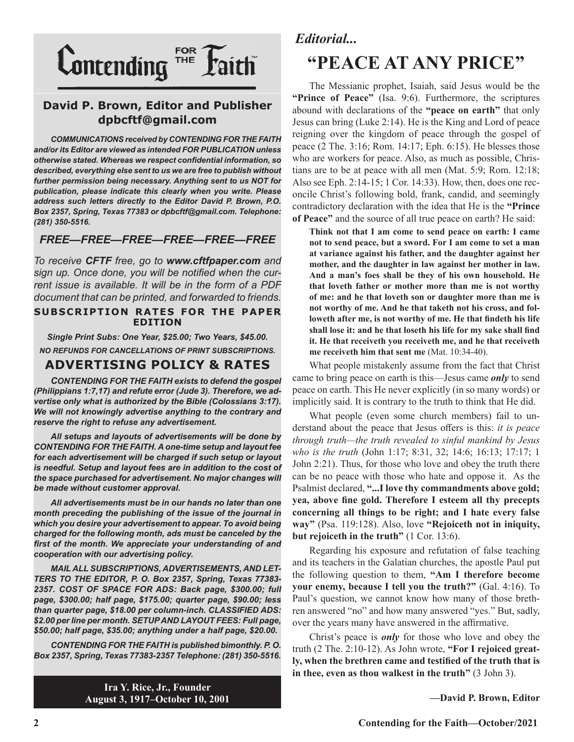

# **David P. Brown, Editor and Publisher dpbcftf@gmail.com**

*COMMUNICATIONS received by CONTENDING FOR THE FAITH and/or its Editor are viewed as intended FOR PUBLICATION unless otherwise stated. Whereas we respect confidential information, so described, everything else sent to us we are free to publish without further permission being necessary. Anything sent to us NOT for publication, please indicate this clearly when you write. Please address such letters directly to the Editor David P. Brown, P.O. Box 2357, Spring, Texas 77383 or dpbcftf@gmail.com. Telephone: (281) 350-5516.*

# *FREE—FREE—FREE—FREE—FREE—FREE*

*To receive CFTF free, go to www.cftfpaper.com and sign up. Once done, you will be notified when the current issue is available. It will be in the form of a PDF document that can be printed, and forwarded to friends.*

### **SUBSCRIPTION RATES FOR THE PAPER EDITION**

*Single Print Subs: One Year, \$25.00; Two Years, \$45.00. NO REFUNDS FOR CANCELLATIONS OF PRINT SUBSCRIPTIONS.*

# **ADVERTISING POLICY & RATES**

*CONTENDING FOR THE FAITH exists to defend the gospel (Philippians 1:7,17) and refute error (Jude 3). Therefore, we advertise only what is authorized by the Bible (Colossians 3:17). We will not knowingly advertise anything to the contrary and reserve the right to refuse any advertisement.*

*All setups and layouts of advertisements will be done by CONTENDING FOR THE FAITH. A one-time setup and layout fee for each advertisement will be charged if such setup or layout*  is needful. Setup and layout fees are in addition to the cost of *the space purchased for advertisement. No major changes will be made without customer approval.*

*All advertisements must be in our hands no later than one month preceding the publishing of the issue of the journal in which you desire your advertisement to appear. To avoid being charged for the following month, ads must be canceled by the first of the month. We appreciate your understanding of and cooperation with our advertising policy.*

*MAIL ALL SUBSCRIPTIONS, ADVERTISEMENTS, AND LET-TERS TO THE EDITOR, P. O. Box 2357, Spring, Texas 77383- 2357. COST OF SPACE FOR ADS: Back page, \$300.00; full page, \$300.00; half page, \$175.00; quarter page, \$90.00; less than quarter page, \$18.00 per column-inch. CLASSIFIED ADS: \$2.00 per line per month. SETUP AND LAYOUT FEES: Full page, \$50.00; half page, \$35.00; anything under a half page, \$20.00.*

*CONTENDING FOR THE FAITH is published bimonthly. P. O. Box 2357, Spring, Texas 77383-2357 Telephone: (281) 350-5516.*

> **Ira Y. Rice, Jr., Founder August 3, 1917–October 10, 2001**

# *Editorial...*

# **"PEACE AT ANY PRICE"**

The Messianic prophet, Isaiah, said Jesus would be the **"Prince of Peace"** (Isa. 9:6). Furthermore, the scriptures abound with declarations of the **"peace on earth"** that only Jesus can bring (Luke 2:14). He is the King and Lord of peace reigning over the kingdom of peace through the gospel of peace (2 The. 3:16; Rom. 14:17; Eph. 6:15). He blesses those who are workers for peace. Also, as much as possible, Christians are to be at peace with all men (Mat. 5:9; Rom. 12:18; Also see Eph. 2:14-15; 1 Cor. 14:33). How, then, does one reconcile Christ's following bold, frank, candid, and seemingly contradictory declaration with the idea that He is the **"Prince of Peace"** and the source of all true peace on earth? He said:

**Think not that I am come to send peace on earth: I came not to send peace, but a sword. For I am come to set a man at variance against his father, and the daughter against her mother, and the daughter in law against her mother in law. And a man's foes shall be they of his own household. He that loveth father or mother more than me is not worthy of me: and he that loveth son or daughter more than me is not worthy of me. And he that taketh not his cross, and followeth after me, is not worthy of me. He that findeth his life shall lose it: and he that loseth his life for my sake shall find it. He that receiveth you receiveth me, and he that receiveth me receiveth him that sent me** (Mat. 10:34-40).

What people mistakenly assume from the fact that Christ came to bring peace on earth is this—Jesus came *only* to send peace on earth. This He never explicitly (in so many words) or implicitly said. It is contrary to the truth to think that He did.

What people (even some church members) fail to understand about the peace that Jesus offers is this: *it is peace through truth—the truth revealed to sinful mankind by Jesus who is the truth* (John 1:17; 8:31, 32; 14:6; 16:13; 17:17; 1 John 2:21). Thus, for those who love and obey the truth there can be no peace with those who hate and oppose it. As the Psalmist declared, **"...I love thy commandments above gold; yea, above fine gold. Therefore I esteem all thy precepts concerning all things to be right; and I hate every false way"** (Psa. 119:128). Also, love **"Rejoiceth not in iniquity, but rejoiceth in the truth"** (1 Cor. 13:6).

Regarding his exposure and refutation of false teaching and its teachers in the Galatian churches, the apostle Paul put the following question to them, **"Am I therefore become your enemy, because I tell you the truth?"** (Gal. 4:16). To Paul's question, we cannot know how many of those brethren answered "no" and how many answered "yes." But, sadly, over the years many have answered in the affirmative.

Christ's peace is *only* for those who love and obey the truth (2 The. 2:10-12). As John wrote, **"For I rejoiced greatly, when the brethren came and testified of the truth that is in thee, even as thou walkest in the truth"** (3 John 3).

**—David P. Brown, Editor**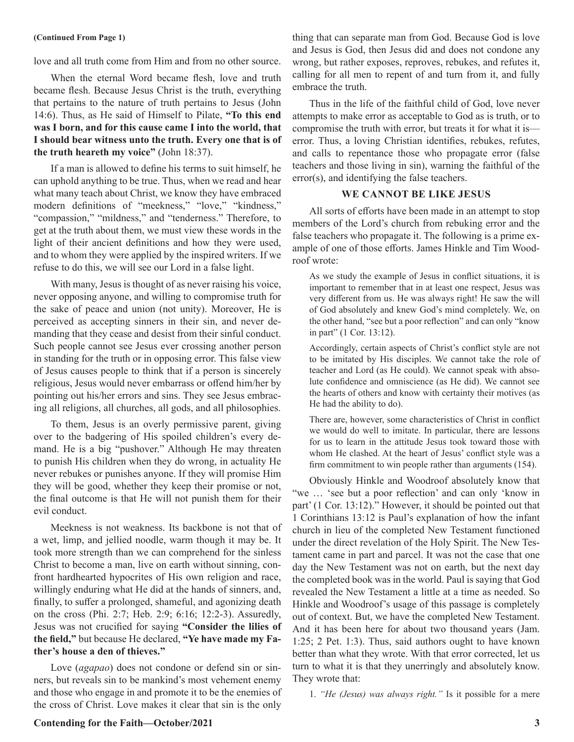### **(Continued From Page 1)**

love and all truth come from Him and from no other source.

When the eternal Word became flesh, love and truth became flesh. Because Jesus Christ is the truth, everything that pertains to the nature of truth pertains to Jesus (John 14:6). Thus, as He said of Himself to Pilate, **"To this end was I born, and for this cause came I into the world, that I should bear witness unto the truth. Every one that is of the truth heareth my voice"** (John 18:37).

If a man is allowed to define his terms to suit himself, he can uphold anything to be true. Thus, when we read and hear what many teach about Christ, we know they have embraced modern definitions of "meekness," "love," "kindness," "compassion," "mildness," and "tenderness." Therefore, to get at the truth about them, we must view these words in the light of their ancient definitions and how they were used, and to whom they were applied by the inspired writers. If we refuse to do this, we will see our Lord in a false light.

With many, Jesus is thought of as never raising his voice, never opposing anyone, and willing to compromise truth for the sake of peace and union (not unity). Moreover, He is perceived as accepting sinners in their sin, and never demanding that they cease and desist from their sinful conduct. Such people cannot see Jesus ever crossing another person in standing for the truth or in opposing error. This false view of Jesus causes people to think that if a person is sincerely religious, Jesus would never embarrass or offend him/her by pointing out his/her errors and sins. They see Jesus embracing all religions, all churches, all gods, and all philosophies.

To them, Jesus is an overly permissive parent, giving over to the badgering of His spoiled children's every demand. He is a big "pushover." Although He may threaten to punish His children when they do wrong, in actuality He never rebukes or punishes anyone. If they will promise Him they will be good, whether they keep their promise or not, the final outcome is that He will not punish them for their evil conduct.

Meekness is not weakness. Its backbone is not that of a wet, limp, and jellied noodle, warm though it may be. It took more strength than we can comprehend for the sinless Christ to become a man, live on earth without sinning, confront hardhearted hypocrites of His own religion and race, willingly enduring what He did at the hands of sinners, and, finally, to suffer a prolonged, shameful, and agonizing death on the cross (Phi. 2:7; Heb. 2:9; 6:16; 12:2-3). Assuredly, Jesus was not crucified for saying **"Consider the lilies of the field,"** but because He declared, **"Ye have made my Father's house a den of thieves."**

Love (*agapao*) does not condone or defend sin or sinners, but reveals sin to be mankind's most vehement enemy and those who engage in and promote it to be the enemies of the cross of Christ. Love makes it clear that sin is the only

thing that can separate man from God. Because God is love and Jesus is God, then Jesus did and does not condone any wrong, but rather exposes, reproves, rebukes, and refutes it, calling for all men to repent of and turn from it, and fully embrace the truth.

Thus in the life of the faithful child of God, love never attempts to make error as acceptable to God as is truth, or to compromise the truth with error, but treats it for what it is error. Thus, a loving Christian identifies, rebukes, refutes, and calls to repentance those who propagate error (false teachers and those living in sin), warning the faithful of the error(s), and identifying the false teachers.

# **WE CANNOT BE LIKE JESUS**

All sorts of efforts have been made in an attempt to stop members of the Lord's church from rebuking error and the false teachers who propagate it. The following is a prime example of one of those efforts. James Hinkle and Tim Woodroof wrote:

As we study the example of Jesus in conflict situations, it is important to remember that in at least one respect, Jesus was very different from us. He was always right! He saw the will of God absolutely and knew God's mind completely. We, on the other hand, "see but a poor reflection" and can only "know in part" (1 Cor. 13:12).

Accordingly, certain aspects of Christ's conflict style are not to be imitated by His disciples. We cannot take the role of teacher and Lord (as He could). We cannot speak with absolute confidence and omniscience (as He did). We cannot see the hearts of others and know with certainty their motives (as He had the ability to do).

There are, however, some characteristics of Christ in conflict we would do well to imitate. In particular, there are lessons for us to learn in the attitude Jesus took toward those with whom He clashed. At the heart of Jesus' conflict style was a firm commitment to win people rather than arguments (154).

Obviously Hinkle and Woodroof absolutely know that "we … 'see but a poor reflection' and can only 'know in part' (1 Cor. 13:12)." However, it should be pointed out that 1 Corinthians 13:12 is Paul's explanation of how the infant church in lieu of the completed New Testament functioned under the direct revelation of the Holy Spirit. The New Testament came in part and parcel. It was not the case that one day the New Testament was not on earth, but the next day the completed book was in the world. Paul is saying that God revealed the New Testament a little at a time as needed. So Hinkle and Woodroof's usage of this passage is completely out of context. But, we have the completed New Testament. And it has been here for about two thousand years (Jam. 1:25; 2 Pet. 1:3). Thus, said authors ought to have known better than what they wrote. With that error corrected, let us turn to what it is that they unerringly and absolutely know. They wrote that:

1. *"He (Jesus) was always right."* Is it possible for a mere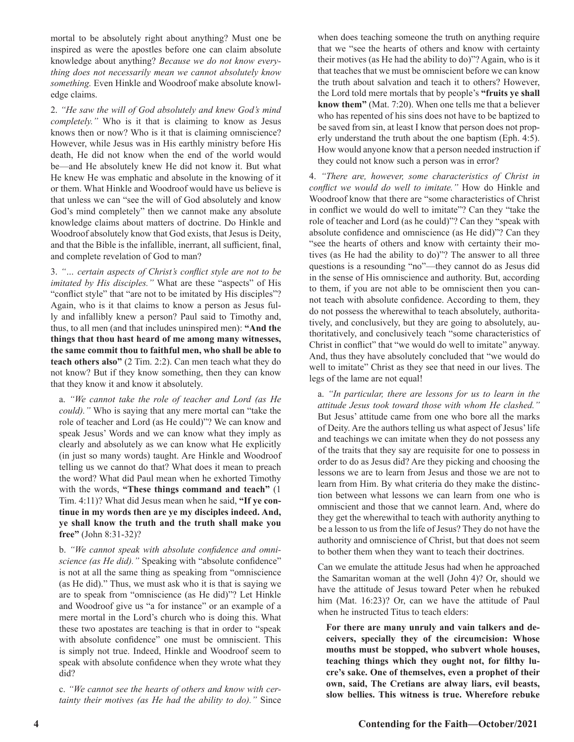mortal to be absolutely right about anything? Must one be inspired as were the apostles before one can claim absolute knowledge about anything? *Because we do not know everything does not necessarily mean we cannot absolutely know something.* Even Hinkle and Woodroof make absolute knowledge claims.

2. *"He saw the will of God absolutely and knew God's mind completely."* Who is it that is claiming to know as Jesus knows then or now? Who is it that is claiming omniscience? However, while Jesus was in His earthly ministry before His death, He did not know when the end of the world would be—and He absolutely knew He did not know it. But what He knew He was emphatic and absolute in the knowing of it or them. What Hinkle and Woodroof would have us believe is that unless we can "see the will of God absolutely and know God's mind completely" then we cannot make any absolute knowledge claims about matters of doctrine. Do Hinkle and Woodroof absolutely know that God exists, that Jesus is Deity, and that the Bible is the infallible, inerrant, all sufficient, final, and complete revelation of God to man?

3. *"… certain aspects of Christ's conflict style are not to be imitated by His disciples."* What are these "aspects" of His "conflict style" that "are not to be imitated by His disciples"? Again, who is it that claims to know a person as Jesus fully and infallibly knew a person? Paul said to Timothy and, thus, to all men (and that includes uninspired men): **"And the things that thou hast heard of me among many witnesses, the same commit thou to faithful men, who shall be able to teach others also"** (2 Tim. 2:2). Can men teach what they do not know? But if they know something, then they can know that they know it and know it absolutely.

a. *"We cannot take the role of teacher and Lord (as He could)."* Who is saying that any mere mortal can "take the role of teacher and Lord (as He could)"? We can know and speak Jesus' Words and we can know what they imply as clearly and absolutely as we can know what He explicitly (in just so many words) taught. Are Hinkle and Woodroof telling us we cannot do that? What does it mean to preach the word? What did Paul mean when he exhorted Timothy with the words, **"These things command and teach"** (1 Tim. 4:11)? What did Jesus mean when he said, **"If ye continue in my words then are ye my disciples indeed. And, ye shall know the truth and the truth shall make you free"** (John 8:31-32)?

b. *"We cannot speak with absolute confidence and omniscience (as He did)."* Speaking with "absolute confidence" is not at all the same thing as speaking from "omniscience (as He did)." Thus, we must ask who it is that is saying we are to speak from "omniscience (as He did)"? Let Hinkle and Woodroof give us "a for instance" or an example of a mere mortal in the Lord's church who is doing this. What these two apostates are teaching is that in order to "speak with absolute confidence" one must be omniscient. This is simply not true. Indeed, Hinkle and Woodroof seem to speak with absolute confidence when they wrote what they did?

c. *"We cannot see the hearts of others and know with certainty their motives (as He had the ability to do)."* Since when does teaching someone the truth on anything require that we "see the hearts of others and know with certainty their motives (as He had the ability to do)"? Again, who is it that teaches that we must be omniscient before we can know the truth about salvation and teach it to others? However, the Lord told mere mortals that by people's **"fruits ye shall know them"** (Mat. 7:20). When one tells me that a believer who has repented of his sins does not have to be baptized to be saved from sin, at least I know that person does not properly understand the truth about the one baptism (Eph. 4:5). How would anyone know that a person needed instruction if they could not know such a person was in error?

4. *"There are, however, some characteristics of Christ in conflict we would do well to imitate."* How do Hinkle and Woodroof know that there are "some characteristics of Christ in conflict we would do well to imitate"? Can they "take the role of teacher and Lord (as he could)"? Can they "speak with absolute confidence and omniscience (as He did)"? Can they "see the hearts of others and know with certainty their motives (as He had the ability to do)"? The answer to all three questions is a resounding "no"—they cannot do as Jesus did in the sense of His omniscience and authority. But, according to them, if you are not able to be omniscient then you cannot teach with absolute confidence. According to them, they do not possess the wherewithal to teach absolutely, authoritatively, and conclusively, but they are going to absolutely, authoritatively, and conclusively teach "some characteristics of Christ in conflict" that "we would do well to imitate" anyway. And, thus they have absolutely concluded that "we would do well to imitate" Christ as they see that need in our lives. The legs of the lame are not equal!

a. *"In particular, there are lessons for us to learn in the attitude Jesus took toward those with whom He clashed."* But Jesus' attitude came from one who bore all the marks of Deity. Are the authors telling us what aspect of Jesus' life and teachings we can imitate when they do not possess any of the traits that they say are requisite for one to possess in order to do as Jesus did? Are they picking and choosing the lessons we are to learn from Jesus and those we are not to learn from Him. By what criteria do they make the distinction between what lessons we can learn from one who is omniscient and those that we cannot learn. And, where do they get the wherewithal to teach with authority anything to be a lesson to us from the life of Jesus? They do not have the authority and omniscience of Christ, but that does not seem to bother them when they want to teach their doctrines.

Can we emulate the attitude Jesus had when he approached the Samaritan woman at the well (John 4)? Or, should we have the attitude of Jesus toward Peter when he rebuked him (Mat. 16:23)? Or, can we have the attitude of Paul when he instructed Titus to teach elders:

**For there are many unruly and vain talkers and deceivers, specially they of the circumcision: Whose mouths must be stopped, who subvert whole houses, teaching things which they ought not, for filthy lucre's sake. One of themselves, even a prophet of their own, said, The Cretians are alway liars, evil beasts, slow bellies. This witness is true. Wherefore rebuke**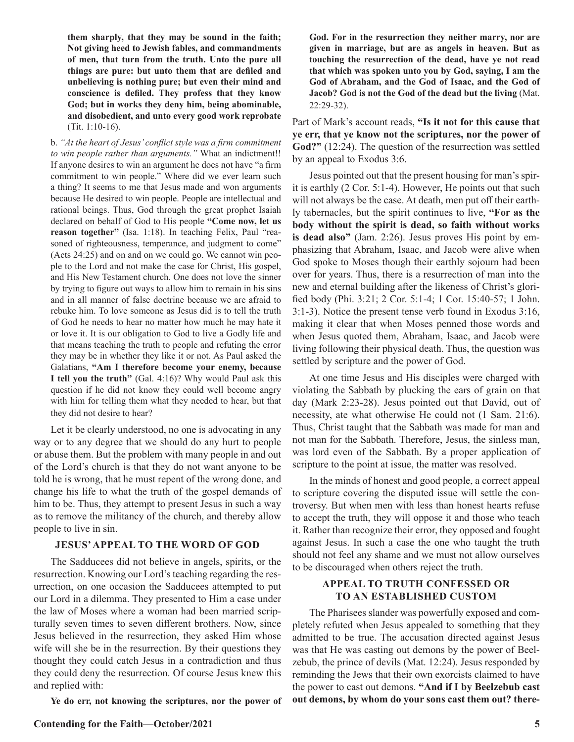**them sharply, that they may be sound in the faith; Not giving heed to Jewish fables, and commandments of men, that turn from the truth. Unto the pure all things are pure: but unto them that are defiled and unbelieving is nothing pure; but even their mind and conscience is defiled. They profess that they know God; but in works they deny him, being abominable, and disobedient, and unto every good work reprobate** (Tit. 1:10-16).

b. *"At the heart of Jesus' conflict style was a firm commitment to win people rather than arguments."* What an indictment!! If anyone desires to win an argument he does not have "a firm commitment to win people." Where did we ever learn such a thing? It seems to me that Jesus made and won arguments because He desired to win people. People are intellectual and rational beings. Thus, God through the great prophet Isaiah declared on behalf of God to His people **"Come now, let us reason together"** (Isa. 1:18). In teaching Felix, Paul "reasoned of righteousness, temperance, and judgment to come" (Acts 24:25) and on and on we could go. We cannot win people to the Lord and not make the case for Christ, His gospel, and His New Testament church. One does not love the sinner by trying to figure out ways to allow him to remain in his sins and in all manner of false doctrine because we are afraid to rebuke him. To love someone as Jesus did is to tell the truth of God he needs to hear no matter how much he may hate it or love it. It is our obligation to God to live a Godly life and that means teaching the truth to people and refuting the error they may be in whether they like it or not. As Paul asked the Galatians, **"Am I therefore become your enemy, because I tell you the truth"** (Gal. 4:16)? Why would Paul ask this question if he did not know they could well become angry with him for telling them what they needed to hear, but that they did not desire to hear?

Let it be clearly understood, no one is advocating in any way or to any degree that we should do any hurt to people or abuse them. But the problem with many people in and out of the Lord's church is that they do not want anyone to be told he is wrong, that he must repent of the wrong done, and change his life to what the truth of the gospel demands of him to be. Thus, they attempt to present Jesus in such a way as to remove the militancy of the church, and thereby allow people to live in sin.

# **JESUS' APPEAL TO THE WORD OF GOD**

The Sadducees did not believe in angels, spirits, or the resurrection. Knowing our Lord's teaching regarding the resurrection, on one occasion the Sadducees attempted to put our Lord in a dilemma. They presented to Him a case under the law of Moses where a woman had been married scripturally seven times to seven different brothers. Now, since Jesus believed in the resurrection, they asked Him whose wife will she be in the resurrection. By their questions they thought they could catch Jesus in a contradiction and thus they could deny the resurrection. Of course Jesus knew this and replied with:

**Ye do err, not knowing the scriptures, nor the power of**

**God. For in the resurrection they neither marry, nor are given in marriage, but are as angels in heaven. But as touching the resurrection of the dead, have ye not read that which was spoken unto you by God, saying, I am the God of Abraham, and the God of Isaac, and the God of Jacob? God is not the God of the dead but the living** (Mat. 22:29-32).

Part of Mark's account reads, **"Is it not for this cause that ye err, that ye know not the scriptures, nor the power of God?"** (12:24). The question of the resurrection was settled by an appeal to Exodus 3:6.

Jesus pointed out that the present housing for man's spirit is earthly (2 Cor. 5:1-4). However, He points out that such will not always be the case. At death, men put off their earthly tabernacles, but the spirit continues to live, **"For as the body without the spirit is dead, so faith without works is dead also"** (Jam. 2:26). Jesus proves His point by emphasizing that Abraham, Isaac, and Jacob were alive when God spoke to Moses though their earthly sojourn had been over for years. Thus, there is a resurrection of man into the new and eternal building after the likeness of Christ's glorified body (Phi. 3:21; 2 Cor. 5:1-4; 1 Cor. 15:40-57; 1 John. 3:1-3). Notice the present tense verb found in Exodus 3:16, making it clear that when Moses penned those words and when Jesus quoted them, Abraham, Isaac, and Jacob were living following their physical death. Thus, the question was settled by scripture and the power of God.

At one time Jesus and His disciples were charged with violating the Sabbath by plucking the ears of grain on that day (Mark 2:23-28). Jesus pointed out that David, out of necessity, ate what otherwise He could not (1 Sam. 21:6). Thus, Christ taught that the Sabbath was made for man and not man for the Sabbath. Therefore, Jesus, the sinless man, was lord even of the Sabbath. By a proper application of scripture to the point at issue, the matter was resolved.

In the minds of honest and good people, a correct appeal to scripture covering the disputed issue will settle the controversy. But when men with less than honest hearts refuse to accept the truth, they will oppose it and those who teach it. Rather than recognize their error, they opposed and fought against Jesus. In such a case the one who taught the truth should not feel any shame and we must not allow ourselves to be discouraged when others reject the truth.

# **APPEAL TO TRUTH CONFESSED OR TO AN ESTABLISHED CUSTOM**

The Pharisees slander was powerfully exposed and completely refuted when Jesus appealed to something that they admitted to be true. The accusation directed against Jesus was that He was casting out demons by the power of Beelzebub, the prince of devils (Mat. 12:24). Jesus responded by reminding the Jews that their own exorcists claimed to have the power to cast out demons. **"And if I by Beelzebub cast out demons, by whom do your sons cast them out? there-**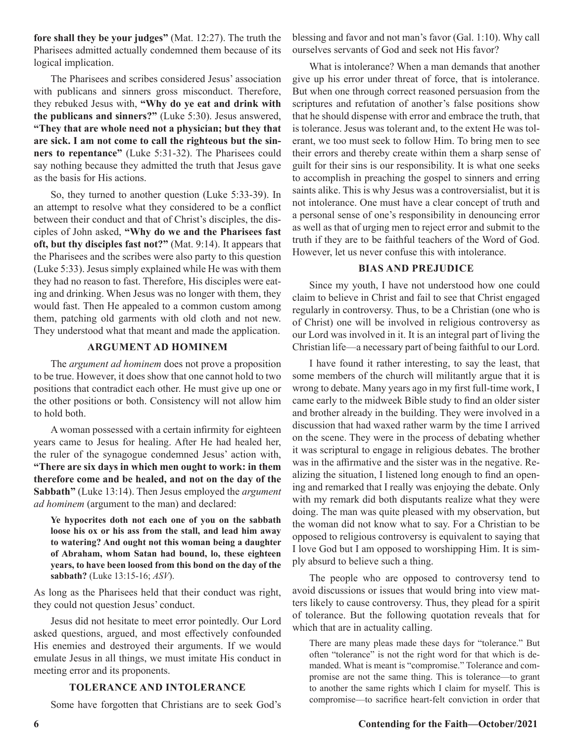**fore shall they be your judges"** (Mat. 12:27). The truth the Pharisees admitted actually condemned them because of its logical implication.

The Pharisees and scribes considered Jesus' association with publicans and sinners gross misconduct. Therefore, they rebuked Jesus with, **"Why do ye eat and drink with the publicans and sinners?"** (Luke 5:30). Jesus answered, **"They that are whole need not a physician; but they that are sick. I am not come to call the righteous but the sinners to repentance"** (Luke 5:31-32). The Pharisees could say nothing because they admitted the truth that Jesus gave as the basis for His actions.

So, they turned to another question (Luke 5:33-39). In an attempt to resolve what they considered to be a conflict between their conduct and that of Christ's disciples, the disciples of John asked, **"Why do we and the Pharisees fast oft, but thy disciples fast not?"** (Mat. 9:14). It appears that the Pharisees and the scribes were also party to this question (Luke 5:33). Jesus simply explained while He was with them they had no reason to fast. Therefore, His disciples were eating and drinking. When Jesus was no longer with them, they would fast. Then He appealed to a common custom among them, patching old garments with old cloth and not new. They understood what that meant and made the application.

### **ARGUMENT AD HOMINEM**

The *argument ad hominem* does not prove a proposition to be true. However, it does show that one cannot hold to two positions that contradict each other. He must give up one or the other positions or both. Consistency will not allow him to hold both.

A woman possessed with a certain infirmity for eighteen years came to Jesus for healing. After He had healed her, the ruler of the synagogue condemned Jesus' action with, **"There are six days in which men ought to work: in them therefore come and be healed, and not on the day of the Sabbath"** (Luke 13:14). Then Jesus employed the *argument ad hominem* (argument to the man) and declared:

**Ye hypocrites doth not each one of you on the sabbath loose his ox or his ass from the stall, and lead him away to watering? And ought not this woman being a daughter of Abraham, whom Satan had bound, lo, these eighteen years, to have been loosed from this bond on the day of the sabbath?** (Luke 13:15-16; *ASV*).

As long as the Pharisees held that their conduct was right, they could not question Jesus' conduct.

Jesus did not hesitate to meet error pointedly. Our Lord asked questions, argued, and most effectively confounded His enemies and destroyed their arguments. If we would emulate Jesus in all things, we must imitate His conduct in meeting error and its proponents.

### **TOLERANCE AND INTOLERANCE**

Some have forgotten that Christians are to seek God's

blessing and favor and not man's favor (Gal. 1:10). Why call ourselves servants of God and seek not His favor?

What is intolerance? When a man demands that another give up his error under threat of force, that is intolerance. But when one through correct reasoned persuasion from the scriptures and refutation of another's false positions show that he should dispense with error and embrace the truth, that is tolerance. Jesus was tolerant and, to the extent He was tolerant, we too must seek to follow Him. To bring men to see their errors and thereby create within them a sharp sense of guilt for their sins is our responsibility. It is what one seeks to accomplish in preaching the gospel to sinners and erring saints alike. This is why Jesus was a controversialist, but it is not intolerance. One must have a clear concept of truth and a personal sense of one's responsibility in denouncing error as well as that of urging men to reject error and submit to the truth if they are to be faithful teachers of the Word of God. However, let us never confuse this with intolerance.

# **BIAS AND PREJUDICE**

Since my youth, I have not understood how one could claim to believe in Christ and fail to see that Christ engaged regularly in controversy. Thus, to be a Christian (one who is of Christ) one will be involved in religious controversy as our Lord was involved in it. It is an integral part of living the Christian life—a necessary part of being faithful to our Lord.

I have found it rather interesting, to say the least, that some members of the church will militantly argue that it is wrong to debate. Many years ago in my first full-time work, I came early to the midweek Bible study to find an older sister and brother already in the building. They were involved in a discussion that had waxed rather warm by the time I arrived on the scene. They were in the process of debating whether it was scriptural to engage in religious debates. The brother was in the affirmative and the sister was in the negative. Realizing the situation, I listened long enough to find an opening and remarked that I really was enjoying the debate. Only with my remark did both disputants realize what they were doing. The man was quite pleased with my observation, but the woman did not know what to say. For a Christian to be opposed to religious controversy is equivalent to saying that I love God but I am opposed to worshipping Him. It is simply absurd to believe such a thing.

The people who are opposed to controversy tend to avoid discussions or issues that would bring into view matters likely to cause controversy. Thus, they plead for a spirit of tolerance. But the following quotation reveals that for which that are in actuality calling.

There are many pleas made these days for "tolerance." But often "tolerance" is not the right word for that which is demanded. What is meant is "compromise." Tolerance and compromise are not the same thing. This is tolerance—to grant to another the same rights which I claim for myself. This is compromise—to sacrifice heart-felt conviction in order that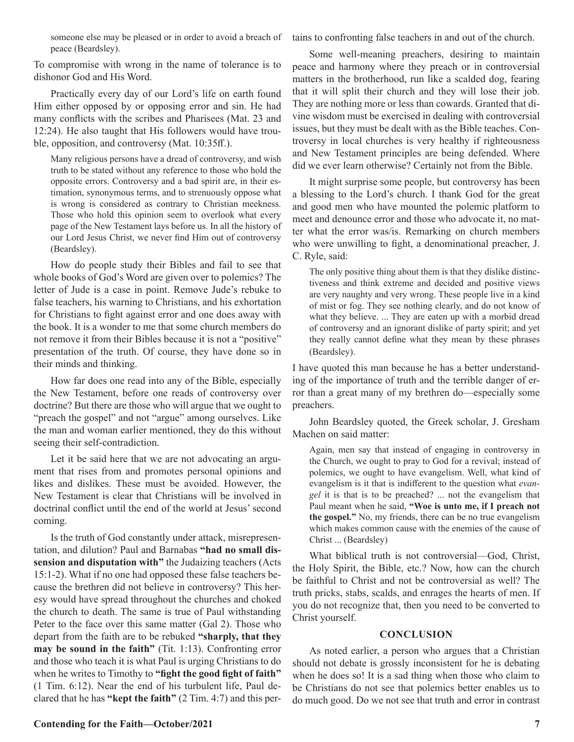someone else may be pleased or in order to avoid a breach of peace (Beardsley).

To compromise with wrong in the name of tolerance is to dishonor God and His Word.

Practically every day of our Lord's life on earth found Him either opposed by or opposing error and sin. He had many conflicts with the scribes and Pharisees (Mat. 23 and 12:24). He also taught that His followers would have trouble, opposition, and controversy (Mat. 10:35ff.).

Many religious persons have a dread of controversy, and wish truth to be stated without any reference to those who hold the opposite errors. Controversy and a bad spirit are, in their estimation, synonymous terms, and to strenuously oppose what is wrong is considered as contrary to Christian meekness. Those who hold this opinion seem to overlook what every page of the New Testament lays before us. In all the history of our Lord Jesus Christ, we never find Him out of controversy (Beardsley).

How do people study their Bibles and fail to see that whole books of God's Word are given over to polemics? The letter of Jude is a case in point. Remove Jude's rebuke to false teachers, his warning to Christians, and his exhortation for Christians to fight against error and one does away with the book. It is a wonder to me that some church members do not remove it from their Bibles because it is not a "positive" presentation of the truth. Of course, they have done so in their minds and thinking.

How far does one read into any of the Bible, especially the New Testament, before one reads of controversy over doctrine? But there are those who will argue that we ought to "preach the gospel" and not "argue" among ourselves. Like the man and woman earlier mentioned, they do this without seeing their self-contradiction.

Let it be said here that we are not advocating an argument that rises from and promotes personal opinions and likes and dislikes. These must be avoided. However, the New Testament is clear that Christians will be involved in doctrinal conflict until the end of the world at Jesus' second coming.

Is the truth of God constantly under attack, misrepresentation, and dilution? Paul and Barnabas **"had no small dissension and disputation with"** the Judaizing teachers (Acts 15:1-2). What if no one had opposed these false teachers because the brethren did not believe in controversy? This heresy would have spread throughout the churches and choked the church to death. The same is true of Paul withstanding Peter to the face over this same matter (Gal 2). Those who depart from the faith are to be rebuked **"sharply, that they may be sound in the faith"** (Tit. 1:13). Confronting error and those who teach it is what Paul is urging Christians to do when he writes to Timothy to **"fight the good fight of faith"** (1 Tim. 6:12). Near the end of his turbulent life, Paul declared that he has **"kept the faith"** (2 Tim. 4:7) and this pertains to confronting false teachers in and out of the church.

Some well-meaning preachers, desiring to maintain peace and harmony where they preach or in controversial matters in the brotherhood, run like a scalded dog, fearing that it will split their church and they will lose their job. They are nothing more or less than cowards. Granted that divine wisdom must be exercised in dealing with controversial issues, but they must be dealt with as the Bible teaches. Controversy in local churches is very healthy if righteousness and New Testament principles are being defended. Where did we ever learn otherwise? Certainly not from the Bible.

It might surprise some people, but controversy has been a blessing to the Lord's church. I thank God for the great and good men who have mounted the polemic platform to meet and denounce error and those who advocate it, no matter what the error was/is. Remarking on church members who were unwilling to fight, a denominational preacher, J. C. Ryle, said:

The only positive thing about them is that they dislike distinctiveness and think extreme and decided and positive views are very naughty and very wrong. These people live in a kind of mist or fog. They see nothing clearly, and do not know of what they believe. ... They are eaten up with a morbid dread of controversy and an ignorant dislike of party spirit; and yet they really cannot define what they mean by these phrases (Beardsley).

I have quoted this man because he has a better understanding of the importance of truth and the terrible danger of error than a great many of my brethren do—especially some preachers.

John Beardsley quoted, the Greek scholar, J. Gresham Machen on said matter:

Again, men say that instead of engaging in controversy in the Church, we ought to pray to God for a revival; instead of polemics, we ought to have evangelism. Well, what kind of evangelism is it that is indifferent to the question what *evangel* it is that is to be preached? ... not the evangelism that Paul meant when he said, **"Woe is unto me, if I preach not the gospel."** No, my friends, there can be no true evangelism which makes common cause with the enemies of the cause of Christ ... (Beardsley)

What biblical truth is not controversial—God, Christ, the Holy Spirit, the Bible, etc.? Now, how can the church be faithful to Christ and not be controversial as well? The truth pricks, stabs, scalds, and enrages the hearts of men. If you do not recognize that, then you need to be converted to Christ yourself.

# **CONCLUSION**

As noted earlier, a person who argues that a Christian should not debate is grossly inconsistent for he is debating when he does so! It is a sad thing when those who claim to be Christians do not see that polemics better enables us to do much good. Do we not see that truth and error in contrast